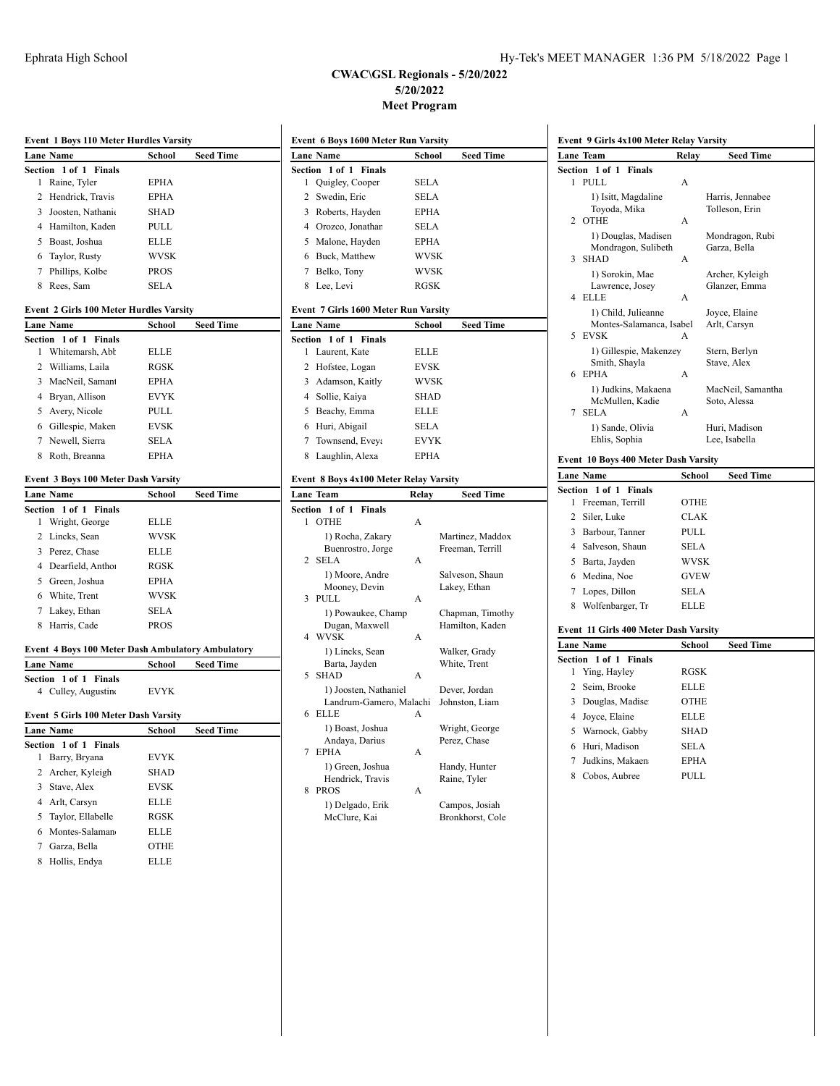## **CWAC\GSL Regionals - 5/20/2022 5/20/2022 Meet Program**

|         | <b>Event 1 Boys 110 Meter Hurdles Varsity</b>            |               |                  |
|---------|----------------------------------------------------------|---------------|------------------|
|         | Lane Name                                                | School        | <b>Seed Time</b> |
|         | Section 1 of 1 Finals                                    |               |                  |
| 1       | Raine, Tyler                                             | EPHA          |                  |
| 2       | Hendrick, Travis                                         | EPHA          |                  |
|         | 3 Joosten, Nathanic                                      | <b>SHAD</b>   |                  |
|         | 4 Hamilton, Kaden                                        | PULL          |                  |
| 5       | Boast, Joshua                                            | <b>ELLE</b>   |                  |
|         | 6 Taylor, Rusty                                          | <b>WVSK</b>   |                  |
| 7       | Phillips, Kolbe                                          | <b>PROS</b>   |                  |
|         | 8 Rees, Sam                                              | <b>SELA</b>   |                  |
|         | <b>Event 2 Girls 100 Meter Hurdles Varsity</b>           |               |                  |
|         | Lane Name                                                | School        | Seed Time        |
|         | Section 1 of 1<br><b>Finals</b>                          |               |                  |
| 1       | Whitemarsh, Abl                                          | <b>ELLE</b>   |                  |
|         | 2 Williams, Laila                                        | RGSK          |                  |
| 3       | MacNeil, Saman                                           | <b>EPHA</b>   |                  |
|         | 4 Bryan, Allison                                         | <b>EVYK</b>   |                  |
|         | 5 Avery, Nicole                                          | PULL          |                  |
|         | 6 Gillespie, Maken                                       | <b>EVSK</b>   |                  |
|         | 7 Newell, Sierra                                         | SELA          |                  |
|         | 8 Roth, Breanna                                          | <b>EPHA</b>   |                  |
|         |                                                          |               |                  |
|         | Event 3 Boys 100 Meter Dash Varsity                      |               |                  |
| Section | <b>Lane Name</b><br>1 of 1 Finals                        | School        | <b>Seed Time</b> |
| 1       | Wright, George                                           | <b>ELLE</b>   |                  |
| 2       | Lincks, Sean                                             | <b>WVSK</b>   |                  |
|         | 3 Perez, Chase                                           | <b>ELLE</b>   |                  |
|         | 4 Dearfield, Antho                                       | RGSK          |                  |
| 5       | Green, Joshua                                            | EPHA          |                  |
| 6       | White, Trent                                             | <b>WVSK</b>   |                  |
| 7       | Lakey, Ethan                                             | SELA          |                  |
| 8       | Harris, Cade                                             | PROS          |                  |
|         |                                                          |               |                  |
|         | <b>Event 4 Boys 100 Meter Dash Ambulatory Ambulatory</b> |               |                  |
|         | <b>Lane Name</b>                                         | <u>School</u> | <b>Seed Time</b> |
|         | Section 1 of 1<br><b>Finals</b>                          |               |                  |
|         | 4 Culley, Augustin                                       | <b>EVYK</b>   |                  |
|         | Event 5 Girls 100 Meter Dash Varsity                     |               |                  |
|         | Lane Name                                                | School        | Seed Time        |
|         | Section 1 of 1 Finals                                    |               |                  |
| 1       | Barry, Bryana                                            | EVYK          |                  |
| 2       | Archer, Kyleigh                                          | <b>SHAD</b>   |                  |
| 3       | Stave, Alex                                              | EVSK          |                  |
|         | Arlt, Carsyn                                             | ELLE          |                  |
| 4       |                                                          |               |                  |
| 5       | Taylor, Ellabelle                                        | RGSK          |                  |
| 6       | Montes-Salaman                                           | ELLE          |                  |
| 7       | Garza, Bella                                             | OTHE          |                  |
| 8       | Hollis, Endya                                            | ELLE          |                  |

| Event 6 Boys 1600 Meter Run Varsity |                                        |             |                                    |
|-------------------------------------|----------------------------------------|-------------|------------------------------------|
|                                     | <b>Lane Name</b>                       | School      | Seed Time                          |
| Section                             | $1$ of $1$<br><b>Finals</b>            |             |                                    |
| 1                                   | Quigley, Cooper                        | SELA        |                                    |
| 2                                   | Swedin, Eric                           | <b>SELA</b> |                                    |
| 3                                   | Roberts, Hayden                        | EPHA        |                                    |
| 4                                   | Orozco, Jonathar                       | <b>SELA</b> |                                    |
| 5                                   | Malone, Hayden                         | <b>EPHA</b> |                                    |
| 6                                   | Buck, Matthew                          | WVSK        |                                    |
| 7                                   | Belko, Tony                            | WVSK        |                                    |
| 8                                   | Lee, Levi                              | <b>RGSK</b> |                                    |
|                                     |                                        |             |                                    |
|                                     | Event 7 Girls 1600 Meter Run Varsity   |             |                                    |
|                                     | Lane Name                              | School      | <b>Seed Time</b>                   |
| Section                             | $1$ of $1$<br><b>Finals</b>            |             |                                    |
| 1                                   | Laurent, Kate                          | <b>ELLE</b> |                                    |
| 2                                   | Hofstee, Logan                         | EVSK        |                                    |
| 3                                   | Adamson, Kaitly                        | WVSK        |                                    |
| 4                                   | Sollie, Kaiya                          | SHAD        |                                    |
| 5                                   | Beachy, Emma                           | ELLE        |                                    |
| 6                                   | Huri, Abigail                          | <b>SELA</b> |                                    |
| 7                                   | Townsend, Eveya                        | <b>EVYK</b> |                                    |
| 8                                   | Laughlin, Alexa                        | <b>EPHA</b> |                                    |
|                                     | Event 8 Boys 4x100 Meter Relay Varsity |             |                                    |
|                                     |                                        |             |                                    |
|                                     |                                        |             |                                    |
|                                     | Lane Team                              | Relay       | <b>Seed Time</b>                   |
| <b>Section</b>                      | 1 of 1<br>Finals                       |             |                                    |
| 1                                   | <b>OTHE</b>                            | А           |                                    |
|                                     | 1) Rocha, Zakary                       |             | Martinez, Maddox                   |
| 2                                   | Buenrostro, Jorge<br>SELA              | А           | Freeman, Terrill                   |
|                                     |                                        |             |                                    |
|                                     | 1) Moore, Andre<br>Mooney, Devin       |             | Salveson, Shaun<br>Lakey, Ethan    |
| 3                                   | PULL                                   | A           |                                    |
|                                     | 1) Powaukee, Champ                     |             | Chapman, Timothy                   |
|                                     | Dugan, Maxwell                         |             | Hamilton, Kaden                    |
| 4                                   | <b>WVSK</b>                            | A           |                                    |
|                                     | 1) Lincks, Sean                        |             | Walker, Grady                      |
|                                     | Barta, Jayden                          |             | White, Trent                       |
| 5                                   | <b>SHAD</b>                            | A           |                                    |
|                                     | 1) Joosten, Nathaniel                  |             | Dever, Jordan                      |
| 6                                   | Landrum-Gamero, Malachi<br><b>ELLE</b> | A           | Johnston, Liam                     |
|                                     | 1) Boast, Joshua                       |             |                                    |
|                                     | Andaya, Darius                         |             | Wright, George<br>Perez, Chase     |
| 7                                   | <b>EPHA</b>                            | A           |                                    |
|                                     | 1) Green, Joshua                       |             | Handy, Hunter                      |
|                                     | Hendrick, Travis                       |             | Raine, Tyler                       |
| 8                                   | <b>PROS</b>                            | A           |                                    |
|                                     | 1) Delgado, Erik<br>McClure, Kai       |             | Campos, Josiah<br>Bronkhorst, Cole |

|                | Lane Team                              | Relay       | <b>Seed Time</b>                  |
|----------------|----------------------------------------|-------------|-----------------------------------|
|                | Section 1 of 1<br>Finals               |             |                                   |
| 1              | PULL.                                  | A           |                                   |
|                | 1) Isitt, Magdaline                    |             | Harris, Jennabee                  |
| 2              | Toyoda, Mika<br><b>OTHE</b>            | A           | Tolleson, Erin                    |
|                | 1) Douglas, Madisen                    |             | Mondragon, Rubi                   |
|                | Mondragon, Sulibeth                    |             | Garza, Bella                      |
| 3              | <b>SHAD</b>                            | А           |                                   |
|                | 1) Sorokin, Mae                        |             | Archer, Kyleigh                   |
| 4              | Lawrence, Josey<br><b>ELLE</b>         | А           | Glanzer, Emma                     |
|                | 1) Child, Julieanne                    |             | Joyce, Elaine                     |
|                | Montes-Salamanca, Isabel               |             | Arlt, Carsyn                      |
| 5              | <b>EVSK</b>                            |             |                                   |
|                | 1) Gillespie, Makenzey                 |             | Stern, Berlyn                     |
|                | Smith, Shayla                          |             | Stave, Alex                       |
| 6              | <b>EPHA</b>                            | A           |                                   |
|                | 1) Judkins, Makaena<br>McMullen, Kadie |             | MacNeil, Samantha<br>Soto, Alessa |
| 7              | <b>SELA</b>                            | А           |                                   |
|                | 1) Sande, Olivia                       |             | Huri, Madison                     |
|                | Ehlis, Sophia                          |             | Lee, Isabella                     |
|                | Event 10 Boys 400 Meter Dash Varsity   |             |                                   |
|                | <b>Lane Name</b>                       | School      | Seed Time                         |
| Section        | 1 of 1<br><b>Finals</b>                |             |                                   |
| 1              | Freeman, Terrill                       | <b>OTHE</b> |                                   |
| 2              | Siler, Luke                            | <b>CLAK</b> |                                   |
|                | 3 Barbour, Tanner                      | PULL        |                                   |
| $\overline{4}$ | Salveson, Shaun                        | <b>SELA</b> |                                   |
|                | 5 Barta, Jayden                        | <b>WVSK</b> |                                   |
|                | 6 Medina, Noe                          | GVEW        |                                   |
| 7              | Lopes, Dillon                          | <b>SELA</b> |                                   |
| 8              | Wolfenbarger, Tr                       | <b>ELLE</b> |                                   |
|                | Event 11 Girls 400 Meter Dash Varsity  |             |                                   |
|                | <b>Lane Name</b>                       | School      | <b>Seed Time</b>                  |
| Section        | 1 of 1<br>Finals                       |             |                                   |
| 1              | Ying, Hayley                           | <b>RGSK</b> |                                   |
| 2              | Seim, Brooke                           | ELLE        |                                   |
| 3              | Douglas, Madise                        | OTHE        |                                   |
| 4              | Joyce, Elaine                          | ELLE        |                                   |
| 5              | Warnock, Gabby                         | SHAD        |                                   |
|                | 6 Huri, Madison                        | <b>SELA</b> |                                   |
|                |                                        |             |                                   |
| 7              | Judkins, Makaen                        | <b>EPHA</b> |                                   |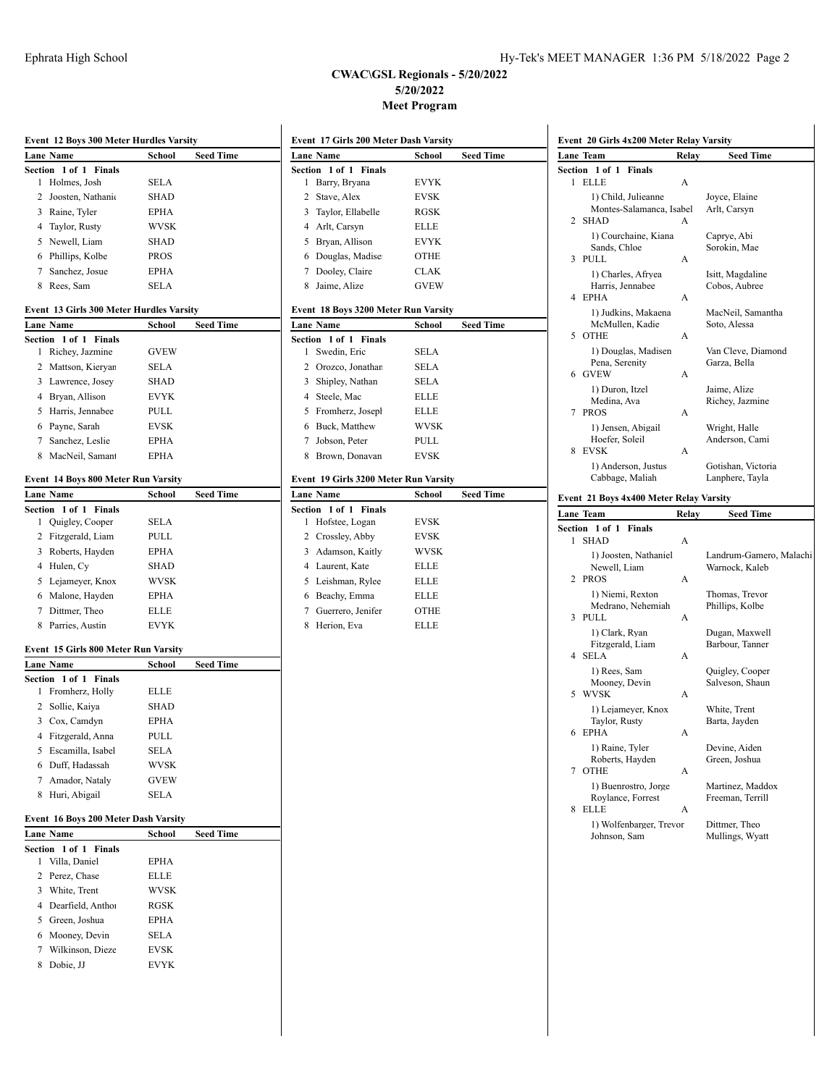## **CWAC\GSL Regionals - 5/20/2022 5/20/2022**

| Event 12 Boys 300 Meter Hurdles Varsity |                                           |             |                  |  |
|-----------------------------------------|-------------------------------------------|-------------|------------------|--|
|                                         | Lane Name                                 | School      | <b>Seed Time</b> |  |
| Section                                 | 1 of 1<br>Finals                          |             |                  |  |
| 1                                       | Holmes, Josh                              | SELA        |                  |  |
| $\mathbf{2}$                            | Joosten, Nathani                          | <b>SHAD</b> |                  |  |
|                                         | 3 Raine, Tyler                            | <b>EPHA</b> |                  |  |
|                                         | 4 Taylor, Rusty                           | <b>WVSK</b> |                  |  |
| 5                                       | Newell, Liam                              | <b>SHAD</b> |                  |  |
|                                         | 6 Phillips, Kolbe                         | PROS        |                  |  |
|                                         | 7 Sanchez, Josue                          | EPHA        |                  |  |
|                                         | 8 Rees, Sam                               | SELA        |                  |  |
|                                         | Event  13 Girls 300 Meter Hurdles Varsity |             |                  |  |
|                                         | Lane Name                                 | School      | Seed Time        |  |
| Section                                 | 1 of 1 Finals                             |             |                  |  |
| 1                                       | Richey, Jazmine                           | <b>GVEW</b> |                  |  |
|                                         | 2 Mattson, Kieryar                        | SELA        |                  |  |
|                                         | 3 Lawrence, Josey                         | <b>SHAD</b> |                  |  |
|                                         | 4 Bryan, Allison                          | <b>EVYK</b> |                  |  |
|                                         | 5 Harris, Jennabee                        | PULL        |                  |  |
|                                         | 6 Payne, Sarah                            | EVSK        |                  |  |
|                                         | 7 Sanchez, Leslie                         | <b>EPHA</b> |                  |  |
|                                         | 8 MacNeil, Saman                          | EPHA        |                  |  |
|                                         | Event 14 Boys 800 Meter Run Varsity       |             |                  |  |
|                                         | Lane Name                                 | School      | <b>Seed Time</b> |  |
|                                         | Section 1 of 1<br>Finals                  |             |                  |  |
| 1                                       | Quigley, Cooper                           | <b>SELA</b> |                  |  |
|                                         | 2 Fitzgerald, Liam                        | PULL        |                  |  |
|                                         | 3 Roberts, Hayden                         | <b>EPHA</b> |                  |  |
|                                         | 4 Hulen, Cy                               | <b>SHAD</b> |                  |  |
|                                         | 5 Lejameyer, Knox                         | WVSK        |                  |  |
|                                         | 6 Malone, Hayden                          | EPHA        |                  |  |
|                                         | 7 Dittmer, Theo                           | ELLE        |                  |  |
|                                         | 8 Parries, Austin                         | <b>EVYK</b> |                  |  |
|                                         | Event 15 Girls 800 Meter Run Varsity      |             |                  |  |
|                                         | Lane Name                                 | School      | <b>Seed Time</b> |  |
| Section                                 | 1 of 1 Finals                             |             |                  |  |
| 1                                       | Fromherz, Holly                           | <b>ELLE</b> |                  |  |
| 2                                       | Sollie, Kaiya                             | SHAD        |                  |  |
|                                         | 3 Cox, Camdyn                             | <b>EPHA</b> |                  |  |
|                                         | 4 Fitzgerald, Anna                        | PULL        |                  |  |
|                                         | 5 Escamilla, Isabel                       | SELA        |                  |  |
|                                         | 6 Duff, Hadassah                          | WVSK        |                  |  |
|                                         | 7 Amador, Nataly                          | GVEW        |                  |  |
| 8                                       | Huri, Abigail                             | SELA        |                  |  |
|                                         | Event 16 Boys 200 Meter Dash Varsity      |             |                  |  |
|                                         | Lane Name                                 | School      | <b>Seed Time</b> |  |
| Section                                 | 1 of 1 Finals                             |             |                  |  |
| 1                                       | Villa, Daniel                             | EPHA        |                  |  |
| 2                                       | Perez, Chase                              | ELLE        |                  |  |
| 3                                       | White, Trent                              | WVSK        |                  |  |
| 4                                       | Dearfield, Antho                          | RGSK        |                  |  |

| 3. | Cox, Camdyn                        | EPHA        |                  |
|----|------------------------------------|-------------|------------------|
| 4  | Fitzgerald, Anna                   | <b>PULL</b> |                  |
| 5. | Escamilla, Isabel                  | <b>SELA</b> |                  |
| 6  | Duff, Hadassah                     | <b>WVSK</b> |                  |
|    | 7 Amador, Nataly                   | <b>GVEW</b> |                  |
| 8  | Huri, Abigail                      | <b>SELA</b> |                  |
|    | ent 16 Boys 200 Meter Dash Varsity |             |                  |
|    | ıne Name                           |             |                  |
|    |                                    | School      | <b>Seed Time</b> |
|    | ction 1 of 1 Finals                |             |                  |
| 1  | Villa, Daniel                      | <b>EPHA</b> |                  |
|    | 2 Perez, Chase                     | <b>ELLE</b> |                  |
| 3  | White, Trent                       | <b>WVSK</b> |                  |
| 4  | Dearfield, Anthol                  | <b>RGSK</b> |                  |
| 5. | Green, Joshua                      | <b>EPHA</b> |                  |
| 6  | Mooney, Devin                      | SELA        |                  |
|    | 7 Wilkinson, Dieze                 | <b>EVSK</b> |                  |

8 Dobie, JJ EVYK

| <b>Meet Program</b>                   |                            |                  |  |  |  |  |
|---------------------------------------|----------------------------|------------------|--|--|--|--|
| Event 17 Girls 200 Meter Dash Varsity |                            |                  |  |  |  |  |
| <b>Lane Name</b>                      | <b>Seed Time</b><br>School |                  |  |  |  |  |
| 1 of 1 Finals<br>Section              |                            |                  |  |  |  |  |
| Barry, Bryana<br>1                    | <b>EVYK</b>                |                  |  |  |  |  |
| 2<br>Stave, Alex                      | <b>EVSK</b>                |                  |  |  |  |  |
| 3<br>Taylor, Ellabelle                | <b>RGSK</b>                |                  |  |  |  |  |
| 4 Arlt, Carsyn                        | <b>ELLE</b>                |                  |  |  |  |  |
| 5 Bryan, Allison                      | <b>EVYK</b>                |                  |  |  |  |  |
| 6 Douglas, Madise                     | OTHE                       |                  |  |  |  |  |
| Dooley, Claire<br>$\overline{7}$      | <b>CLAK</b>                |                  |  |  |  |  |
| Jaime, Alize<br>8                     | <b>GVEW</b>                |                  |  |  |  |  |
| Event 18 Boys 3200 Meter Run Varsity  |                            |                  |  |  |  |  |
| <b>Lane Name</b>                      | School                     | <b>Seed Time</b> |  |  |  |  |
| $1$ of $1$<br>Section<br>Finals       |                            |                  |  |  |  |  |
| Swedin, Eric<br>1                     | <b>SELA</b>                |                  |  |  |  |  |
| 2 Orozco, Jonathan                    | <b>SELA</b>                |                  |  |  |  |  |
| Shipley, Nathan<br>3                  | <b>SELA</b>                |                  |  |  |  |  |
| 4 Steele, Mac                         | ELLE                       |                  |  |  |  |  |
| Fromherz, Joseph<br>5                 | ELLE                       |                  |  |  |  |  |
| 6 Buck, Matthew                       | <b>WVSK</b>                |                  |  |  |  |  |
| 7 Jobson, Peter                       | <b>PULL</b>                |                  |  |  |  |  |
| 8 Brown, Donavan                      | <b>EVSK</b>                |                  |  |  |  |  |
| Event 19 Girls 3200 Meter Run Varsity |                            |                  |  |  |  |  |
| <b>Lane Name</b>                      | School                     | <b>Seed Time</b> |  |  |  |  |
| <b>Finals</b><br>Section 1 of 1       |                            |                  |  |  |  |  |
| Hofstee, Logan<br>1                   | <b>EVSK</b>                |                  |  |  |  |  |
| 2 Crossley, Abby                      | <b>EVSK</b>                |                  |  |  |  |  |
| 3<br>Adamson, Kaitly                  | <b>WVSK</b>                |                  |  |  |  |  |
| 4 Laurent, Kate                       | ELLE                       |                  |  |  |  |  |
| 5 Leishman, Rylee                     | ELLE                       |                  |  |  |  |  |
| 6 Beachy, Emma                        | ELLE                       |                  |  |  |  |  |
| 7 Guerrero, Jenifer                   | <b>OTHE</b>                |                  |  |  |  |  |
| Herion, Eva<br>8                      | <b>ELLE</b>                |                  |  |  |  |  |
|                                       |                            |                  |  |  |  |  |
|                                       |                            |                  |  |  |  |  |
|                                       |                            |                  |  |  |  |  |
|                                       |                            |                  |  |  |  |  |
|                                       |                            |                  |  |  |  |  |
|                                       |                            |                  |  |  |  |  |
|                                       |                            |                  |  |  |  |  |
|                                       |                            |                  |  |  |  |  |

|         | Lane Team                               | Relay | Seed Time                                 |
|---------|-----------------------------------------|-------|-------------------------------------------|
|         | Section<br>1 of 1<br><b>Finals</b>      |       |                                           |
| 1       | <b>ELLE</b>                             | А     |                                           |
|         | 1) Child, Julieanne                     |       | Joyce, Elaine                             |
|         | Montes-Salamanca, Isabel                |       | Arlt, Carsyn                              |
| 2       | <b>SHAD</b>                             | А     |                                           |
|         | 1) Courchaine, Kiana                    |       | Caprye, Abi                               |
|         | Sands, Chloe                            |       | Sorokin, Mae                              |
| 3       | PULL                                    | А     |                                           |
|         | 1) Charles, Afryea                      |       | Isitt, Magdaline                          |
|         | Harris, Jennabee                        |       | Cobos, Aubree                             |
| 4       | <b>EPHA</b>                             | A     |                                           |
|         | 1) Judkins, Makaena                     |       | MacNeil, Samantha                         |
|         | McMullen, Kadie                         |       | Soto, Alessa                              |
| 5       | <b>OTHE</b>                             | А     |                                           |
|         | 1) Douglas, Madisen                     |       | Van Cleve, Diamond                        |
|         | Pena, Serenity                          |       | Garza, Bella                              |
| 6       | <b>GVEW</b>                             | А     |                                           |
|         | 1) Duron, Itzel                         |       | Jaime, Alize                              |
|         | Medina, Ava                             |       | Richey, Jazmine                           |
| 7       | PROS                                    | А     |                                           |
|         | 1) Jensen, Abigail                      |       | Wright, Halle                             |
|         | Hoefer, Soleil                          |       | Anderson, Cami                            |
| 8       | <b>EVSK</b>                             | A     |                                           |
|         |                                         |       |                                           |
|         | 1) Anderson, Justus                     |       | Gotishan, Victoria                        |
|         | Cabbage, Maliah                         |       | Lanphere, Tayla                           |
|         |                                         |       |                                           |
|         | Event 21 Boys 4x400 Meter Relay Varsity |       |                                           |
|         | Lane Team                               | Relay | Seed Time                                 |
|         | 1 of 1<br>Finals                        |       |                                           |
| 1       | SHAD                                    | А     |                                           |
|         | 1) Joosten, Nathaniel                   |       |                                           |
|         | Newell, Liam                            |       | Landrum-Gamero, Malachi<br>Warnock, Kaleb |
| 2       | <b>PROS</b>                             | А     |                                           |
|         | 1) Niemi, Rexton                        |       | Thomas, Trevor                            |
| Section | Medrano, Nehemiah                       |       | Phillips, Kolbe                           |
| 3       | PULL                                    | А     |                                           |
|         | 1) Clark, Ryan                          |       | Dugan, Maxwell                            |
| 4       | Fitzgerald, Liam                        | А     | Barbour, Tanner                           |
|         | SELA                                    |       |                                           |
|         | 1) Rees, Sam                            |       | Quigley, Cooper                           |
| 5       | Mooney, Devin<br><b>WVSK</b>            | A     | Salveson, Shaun                           |
|         |                                         |       |                                           |
|         | 1) Lejameyer, Knox                      |       | White, Trent                              |
| 6       | Taylor, Rusty<br><b>EPHA</b>            | A     | Barta, Jayden                             |
|         |                                         |       |                                           |
|         | 1) Raine, Tyler                         |       | Devine, Aiden                             |
| 7       | Roberts, Hayden<br>OTHE                 | А     | Green, Joshua                             |
|         |                                         |       |                                           |
|         | 1) Buenrostro, Jorge                    |       | Martinez, Maddox                          |
|         | Roylance, Forrest                       |       | Freeman, Terrill                          |
| 8       | ELLE                                    | A     |                                           |
|         | 1) Wolfenbarger, Trevor<br>Johnson, Sam |       | Dittmer, Theo<br>Mullings, Wyatt          |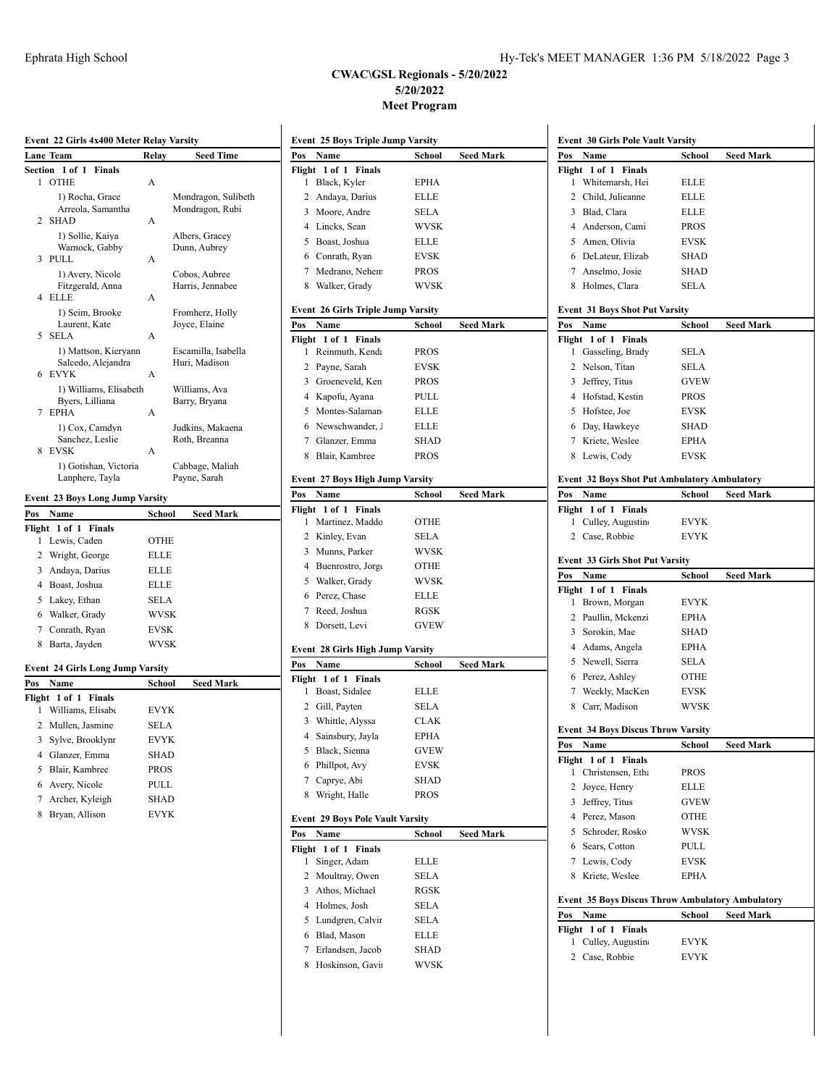## **CWAC\GSL Regionals - 5/20/2022 5/20/2022 Meet Program**

|             | Event 22 Girls 4x400 Meter Relay Varsity     |             |                                |
|-------------|----------------------------------------------|-------------|--------------------------------|
|             | Lane Team                                    | Relay       | Seed Time                      |
| Section     | 1 of 1<br>Finals                             |             |                                |
| 1           | <b>OTHE</b>                                  | А           |                                |
|             | 1) Rocha, Grace                              |             | Mondragon, Sulibeth            |
|             | Arreola, Samantha                            |             | Mondragon, Rubi                |
| 2           | <b>SHAD</b>                                  | A           |                                |
|             | 1) Sollie, Kaiya<br>Warnock, Gabby           |             | Albers, Gracey<br>Dunn, Aubrey |
| 3           | PULL                                         | А           |                                |
|             | 1) Avery, Nicole                             |             | Cobos, Aubree                  |
|             | Fitzgerald, Anna                             |             | Harris, Jennabee               |
| 4           | ELLE                                         | Α           |                                |
|             | 1) Seim, Brooke                              |             | Fromherz, Holly                |
|             | Laurent, Kate                                |             | Joyce, Elaine                  |
| 5           | <b>SELA</b>                                  | A           |                                |
|             | 1) Mattson, Kieryann                         |             | Escamilla, Isabella            |
| 6           | Salcedo, Alejandra<br>EVYK                   | A           | Huri, Madison                  |
|             | 1) Williams, Elisabeth                       |             | Williams, Ava                  |
|             | Byers, Lilliana                              |             | Barry, Bryana                  |
| 7           | <b>EPHA</b>                                  | A           |                                |
|             | 1) Cox, Camdyn                               |             | Judkins, Makaena               |
|             | Sanchez, Leslie                              |             | Roth, Breanna                  |
| 8           | EVSK                                         | A           |                                |
|             | 1) Gotishan, Victoria                        |             | Cabbage, Maliah                |
|             | Lanphere, Tayla                              |             | Payne, Sarah                   |
|             | Event 23 Boys Long Jump Varsity              |             |                                |
| Pos         | Name                                         | School      | Seed Mark                      |
| Flight      | 1 of 1<br><b>Finals</b>                      |             |                                |
| 1           | Lewis, Caden                                 | OTHE        |                                |
| 2           | Wright, George                               | ELLE        |                                |
| 3           | Andaya, Darius                               | <b>ELLE</b> |                                |
| 4           | Boast, Joshua                                | <b>ELLE</b> |                                |
| 5           | Lakey, Ethan                                 | SELA        |                                |
| 6           | Walker, Grady                                | <b>WVSK</b> |                                |
| 7           | Conrath, Ryan                                | <b>EVSK</b> |                                |
| 8           | Barta, Jayden                                | WVSK        |                                |
|             |                                              |             |                                |
|             | <b>Event 24 Girls Long Jump Varsity</b>      |             |                                |
| <u>Pos</u>  | Name                                         | School      | Seed Mark                      |
| Flight<br>1 | 1 of 1<br><b>Finals</b><br>Williams, Elisabe | <b>EVYK</b> |                                |
|             |                                              |             |                                |
| 2           | Mullen, Jasmine                              | SELA        |                                |
| 3           | Sylve, Brooklynr                             | EVYK        |                                |
| 4           | Glanzer, Emma                                | <b>SHAD</b> |                                |
| 5           | Blair, Kambree                               | <b>PROS</b> |                                |
| 6           | Avery, Nicole                                | PULL        |                                |
| 7           | Archer, Kyleigh                              | <b>SHAD</b> |                                |
|             |                                              |             |                                |
| 8           | Bryan, Allison                               | <b>EVYK</b> |                                |
|             |                                              |             |                                |

| Pos                  | Name                                      | School      | Seed Mark        |
|----------------------|-------------------------------------------|-------------|------------------|
|                      | Flight 1 of 1<br><b>Finals</b>            |             |                  |
| 1                    | Black, Kyler                              | EPHA        |                  |
| $\mathbf{2}$         | Andaya, Darius                            | ELLE        |                  |
|                      | 3 Moore, Andre                            | SELA        |                  |
|                      | 4 Lincks, Sean                            | WVSK        |                  |
|                      | 5 Boast, Joshua                           | <b>ELLE</b> |                  |
|                      | 6 Conrath, Ryan                           | <b>EVSK</b> |                  |
|                      |                                           |             |                  |
|                      | 7 Medrano, Nehem                          | <b>PROS</b> |                  |
|                      | 8 Walker, Grady                           | <b>WVSK</b> |                  |
|                      | <b>Event 26 Girls Triple Jump Varsity</b> |             |                  |
| Pos                  | Name                                      | School      | Seed Mark        |
|                      | Flight 1 of 1 Finals                      |             |                  |
| 1                    | Reinmuth, Kenda                           | <b>PROS</b> |                  |
|                      | 2 Payne, Sarah                            | EVSK        |                  |
|                      | 3 Groeneveld, Ken                         | <b>PROS</b> |                  |
|                      | 4 Kapofu, Ayana                           | PULL        |                  |
|                      | 5 Montes-Salaman                          |             |                  |
|                      |                                           | <b>ELLE</b> |                  |
|                      | 6 Newschwander, J                         | <b>ELLE</b> |                  |
|                      | 7 Glanzer, Emma                           | SHAD        |                  |
|                      | 8 Blair, Kambree                          | <b>PROS</b> |                  |
|                      | <b>Event 27 Boys High Jump Varsity</b>    |             |                  |
|                      |                                           |             |                  |
| Pos                  | Name<br>Flight 1 of 1 Finals              | School      | <b>Seed Mark</b> |
| 1                    | Martinez, Maddo                           | OTHE        |                  |
|                      | 2 Kinley, Evan                            | SELA        |                  |
|                      |                                           |             |                  |
|                      | 3 Munns, Parker                           | <b>WVSK</b> |                  |
|                      | 4 Buenrostro, Jorge                       | OTHE        |                  |
|                      | 5 Walker, Grady                           | WVSK        |                  |
|                      | 6 Perez, Chase                            | <b>ELLE</b> |                  |
|                      |                                           | RGSK        |                  |
|                      | 7 Reed, Joshua                            |             |                  |
|                      | 8 Dorsett, Levi                           | <b>GVEW</b> |                  |
|                      |                                           |             |                  |
|                      | Event 28 Girls High Jump Varsity          |             |                  |
|                      | Name                                      | School      | Seed Mark        |
| 1                    | Flight 1 of 1 Finals                      | ELLE        |                  |
|                      | Boast, Sidalee                            |             |                  |
|                      | 2 Gill, Payten                            | SELA        |                  |
|                      | 3 Whittle, Alyssa                         | <b>CLAK</b> |                  |
|                      | 4 Sainsbury, Jayla                        | EPHA        |                  |
| 5                    | Black, Sienna                             | GVEW        |                  |
|                      | 6 Phillpot, Avy                           | <b>EVSK</b> |                  |
|                      | 7 Caprye, Abi                             | SHAD        |                  |
|                      | 8 Wright, Halle                           | PROS        |                  |
|                      |                                           |             |                  |
|                      | <b>Event 29 Boys Pole Vault Varsity</b>   |             |                  |
|                      | Name                                      | School      | Seed Mark        |
| 1                    | 1 of 1 Finals<br>Singer, Adam             | ELLE        |                  |
|                      |                                           |             |                  |
| 2                    | Moultray, Owen                            | SELA        |                  |
| Pos<br>Pos<br>Flight | 3 Athos, Michael                          | RGSK        |                  |
|                      | 4 Holmes, Josh                            | SELA        |                  |
|                      | 5 Lundgren, Calvir                        | SELA        |                  |
|                      | 6 Blad, Mason                             | ELLE        |                  |
|                      | 7 Erlandsen, Jacob                        | SHAD        |                  |
| 8                    | Hoskinson, Gavir                          | WVSK        |                  |

|                 | <b>Event 30 Girls Pole Vault Varsity</b>                        |             |                  |
|-----------------|-----------------------------------------------------------------|-------------|------------------|
| Pos             | Name                                                            | School      | <b>Seed Mark</b> |
|                 | Flight 1 of 1 Finals                                            |             |                  |
| 1               | Whitemarsh, Hei                                                 | ELLE        |                  |
| 2               | Child, Julieanne                                                | ELLE        |                  |
|                 | 3 Blad, Clara                                                   | ELLE        |                  |
|                 | 4 Anderson, Cami                                                | <b>PROS</b> |                  |
|                 | 5 Amen, Olivia                                                  | <b>EVSK</b> |                  |
|                 | 6 DeLateur, Elizab                                              | <b>SHAD</b> |                  |
|                 | 7 Anselmo, Josie                                                | <b>SHAD</b> |                  |
|                 | 8 Holmes, Clara                                                 | <b>SELA</b> |                  |
|                 | <b>Event 31 Boys Shot Put Varsity</b>                           |             |                  |
| Pos             | Name                                                            | School      | <b>Seed Mark</b> |
|                 | Flight 1 of 1<br><b>Finals</b>                                  |             |                  |
| 1               | Gasseling, Brady                                                | SELA        |                  |
|                 | 2 Nelson, Titan                                                 | <b>SELA</b> |                  |
|                 | 3 Jeffrey, Titus                                                | <b>GVEW</b> |                  |
|                 | 4 Hofstad, Kestin                                               | <b>PROS</b> |                  |
|                 | 5 Hofstee, Joe                                                  | <b>EVSK</b> |                  |
|                 | 6 Day, Hawkeye                                                  | SHAD        |                  |
|                 | 7 Kriete, Weslee                                                | <b>EPHA</b> |                  |
|                 | 8 Lewis, Cody                                                   | <b>EVSK</b> |                  |
|                 | <b>Event 32 Boys Shot Put Ambulatory Ambulatory</b>             |             |                  |
| Pos             | Name                                                            | School      | <b>Seed Mark</b> |
|                 | Flight 1 of 1 Finals                                            |             |                  |
| 1               | Culley, Augustino                                               | EVYK        |                  |
| 2               | Case, Robbie                                                    | EVYK        |                  |
|                 | <b>Event 33 Girls Shot Put Varsity</b>                          |             |                  |
| Pos             | Name                                                            | School      | <b>Seed Mark</b> |
|                 |                                                                 |             |                  |
|                 | Flight 1 of 1 Finals                                            |             |                  |
|                 | 1 Brown, Morgan                                                 | <b>EVYK</b> |                  |
|                 | 2 Paullin, Mckenzi                                              | <b>EPHA</b> |                  |
|                 | 3 Sorokin, Mae                                                  | <b>SHAD</b> |                  |
|                 | 4 Adams, Angela                                                 | <b>EPHA</b> |                  |
|                 | 5 Newell, Sierra                                                | SELA        |                  |
|                 | 6 Perez, Ashley                                                 | OTHE        |                  |
|                 | 7 Weekly, MacKen                                                | EVSK        |                  |
|                 | 8 Carr, Madison                                                 | WVSK        |                  |
|                 | <b>Event 34 Boys Discus Throw Varsity</b>                       |             |                  |
|                 | Name                                                            | School      | Seed Mark        |
|                 | Flight 1 of 1<br>Finals                                         |             |                  |
| 1               | Christensen, Etha                                               | PROS        |                  |
| 2               | Joyce, Henry                                                    | ELLE        |                  |
|                 | 3 Jeffrey, Titus                                                | <b>GVEW</b> |                  |
|                 | 4 Perez, Mason                                                  | OTHE        |                  |
|                 | 5 Schroder, Rosko                                               | WVSK        |                  |
|                 | 6 Sears, Cotton                                                 | PULL        |                  |
|                 | 7 Lewis, Cody                                                   | <b>EVSK</b> |                  |
| 8               | Kriete, Weslee                                                  | <b>EPHA</b> |                  |
|                 |                                                                 |             |                  |
|                 | <b>Event 35 Boys Discus Throw Ambulatory Ambulatory</b><br>Name | School      | <b>Seed Mark</b> |
| Flight          | 1 of 1<br><b>Finals</b>                                         |             |                  |
| Pos<br>Pos<br>1 | Culley, Augustino                                               | EVYK        |                  |
| 2               | Case, Robbie                                                    | EVYK        |                  |
|                 |                                                                 |             |                  |
|                 |                                                                 |             |                  |